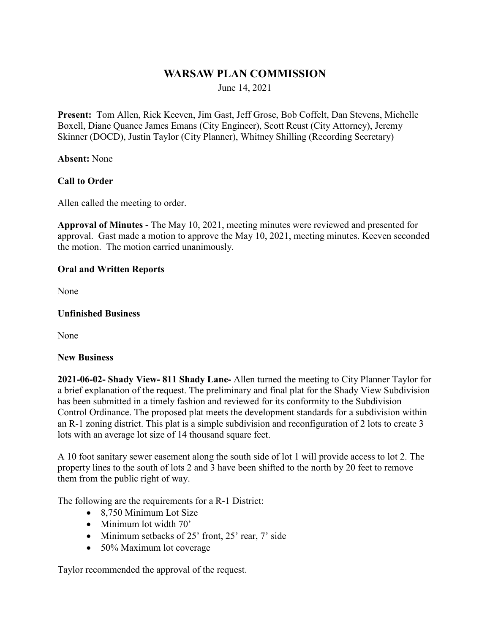# **WARSAW PLAN COMMISSION**

June 14, 2021

**Present:** Tom Allen, Rick Keeven, Jim Gast, Jeff Grose, Bob Coffelt, Dan Stevens, Michelle Boxell, Diane Quance James Emans (City Engineer), Scott Reust (City Attorney), Jeremy Skinner (DOCD), Justin Taylor (City Planner), Whitney Shilling (Recording Secretary)

**Absent:** None

### **Call to Order**

Allen called the meeting to order.

**Approval of Minutes -** The May 10, 2021, meeting minutes were reviewed and presented for approval. Gast made a motion to approve the May 10, 2021, meeting minutes. Keeven seconded the motion. The motion carried unanimously.

### **Oral and Written Reports**

None

#### **Unfinished Business**

None

#### **New Business**

**2021-06-02- Shady View- 811 Shady Lane-** Allen turned the meeting to City Planner Taylor for a brief explanation of the request. The preliminary and final plat for the Shady View Subdivision has been submitted in a timely fashion and reviewed for its conformity to the Subdivision Control Ordinance. The proposed plat meets the development standards for a subdivision within an R-1 zoning district. This plat is a simple subdivision and reconfiguration of 2 lots to create 3 lots with an average lot size of 14 thousand square feet.

A 10 foot sanitary sewer easement along the south side of lot 1 will provide access to lot 2. The property lines to the south of lots 2 and 3 have been shifted to the north by 20 feet to remove them from the public right of way.

The following are the requirements for a R-1 District:

- 8,750 Minimum Lot Size
- Minimum lot width 70'
- Minimum setbacks of 25' front, 25' rear, 7' side
- 50% Maximum lot coverage

Taylor recommended the approval of the request.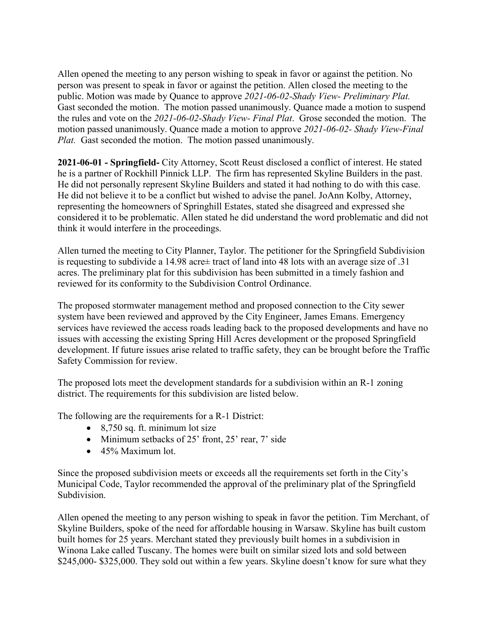Allen opened the meeting to any person wishing to speak in favor or against the petition. No person was present to speak in favor or against the petition. Allen closed the meeting to the public. Motion was made by Quance to approve *2021-06-02-Shady View- Preliminary Plat.*  Gast seconded the motion. The motion passed unanimously. Quance made a motion to suspend the rules and vote on the *2021-06-02-Shady View- Final Plat*. Grose seconded the motion. The motion passed unanimously. Quance made a motion to approve *2021-06-02- Shady View-Final Plat.* Gast seconded the motion. The motion passed unanimously.

**2021-06-01 - Springfield-** City Attorney, Scott Reust disclosed a conflict of interest. He stated he is a partner of Rockhill Pinnick LLP. The firm has represented Skyline Builders in the past. He did not personally represent Skyline Builders and stated it had nothing to do with this case. He did not believe it to be a conflict but wished to advise the panel. JoAnn Kolby, Attorney, representing the homeowners of Springhill Estates, stated she disagreed and expressed she considered it to be problematic. Allen stated he did understand the word problematic and did not think it would interfere in the proceedings.

Allen turned the meeting to City Planner, Taylor. The petitioner for the Springfield Subdivision is requesting to subdivide a 14.98 acre± tract of land into 48 lots with an average size of .31 acres. The preliminary plat for this subdivision has been submitted in a timely fashion and reviewed for its conformity to the Subdivision Control Ordinance.

The proposed stormwater management method and proposed connection to the City sewer system have been reviewed and approved by the City Engineer, James Emans. Emergency services have reviewed the access roads leading back to the proposed developments and have no issues with accessing the existing Spring Hill Acres development or the proposed Springfield development. If future issues arise related to traffic safety, they can be brought before the Traffic Safety Commission for review.

The proposed lots meet the development standards for a subdivision within an R-1 zoning district. The requirements for this subdivision are listed below.

The following are the requirements for a R-1 District:

- 8,750 sq. ft. minimum lot size
- Minimum setbacks of 25' front, 25' rear, 7' side
- 45% Maximum lot.

Since the proposed subdivision meets or exceeds all the requirements set forth in the City's Municipal Code, Taylor recommended the approval of the preliminary plat of the Springfield Subdivision.

Allen opened the meeting to any person wishing to speak in favor the petition. Tim Merchant, of Skyline Builders, spoke of the need for affordable housing in Warsaw. Skyline has built custom built homes for 25 years. Merchant stated they previously built homes in a subdivision in Winona Lake called Tuscany. The homes were built on similar sized lots and sold between \$245,000- \$325,000. They sold out within a few years. Skyline doesn't know for sure what they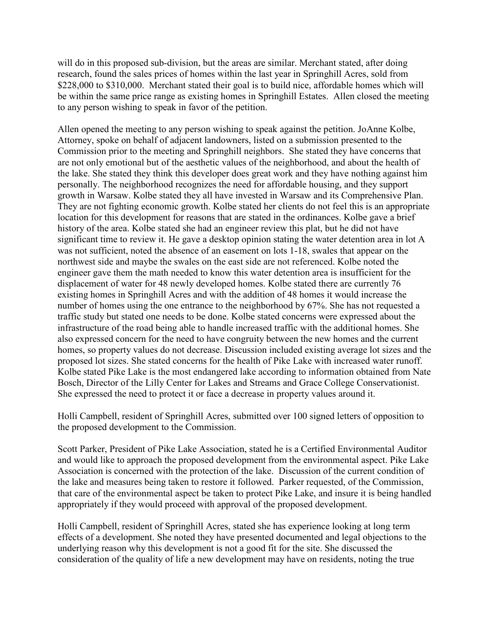will do in this proposed sub-division, but the areas are similar. Merchant stated, after doing research, found the sales prices of homes within the last year in Springhill Acres, sold from \$228,000 to \$310,000. Merchant stated their goal is to build nice, affordable homes which will be within the same price range as existing homes in Springhill Estates. Allen closed the meeting to any person wishing to speak in favor of the petition.

Allen opened the meeting to any person wishing to speak against the petition. JoAnne Kolbe, Attorney, spoke on behalf of adjacent landowners, listed on a submission presented to the Commission prior to the meeting and Springhill neighbors. She stated they have concerns that are not only emotional but of the aesthetic values of the neighborhood, and about the health of the lake. She stated they think this developer does great work and they have nothing against him personally. The neighborhood recognizes the need for affordable housing, and they support growth in Warsaw. Kolbe stated they all have invested in Warsaw and its Comprehensive Plan. They are not fighting economic growth. Kolbe stated her clients do not feel this is an appropriate location for this development for reasons that are stated in the ordinances. Kolbe gave a brief history of the area. Kolbe stated she had an engineer review this plat, but he did not have significant time to review it. He gave a desktop opinion stating the water detention area in lot A was not sufficient, noted the absence of an easement on lots 1-18, swales that appear on the northwest side and maybe the swales on the east side are not referenced. Kolbe noted the engineer gave them the math needed to know this water detention area is insufficient for the displacement of water for 48 newly developed homes. Kolbe stated there are currently 76 existing homes in Springhill Acres and with the addition of 48 homes it would increase the number of homes using the one entrance to the neighborhood by 67%. She has not requested a traffic study but stated one needs to be done. Kolbe stated concerns were expressed about the infrastructure of the road being able to handle increased traffic with the additional homes. She also expressed concern for the need to have congruity between the new homes and the current homes, so property values do not decrease. Discussion included existing average lot sizes and the proposed lot sizes. She stated concerns for the health of Pike Lake with increased water runoff. Kolbe stated Pike Lake is the most endangered lake according to information obtained from Nate Bosch, Director of the Lilly Center for Lakes and Streams and Grace College Conservationist. She expressed the need to protect it or face a decrease in property values around it.

Holli Campbell, resident of Springhill Acres, submitted over 100 signed letters of opposition to the proposed development to the Commission.

Scott Parker, President of Pike Lake Association, stated he is a Certified Environmental Auditor and would like to approach the proposed development from the environmental aspect. Pike Lake Association is concerned with the protection of the lake. Discussion of the current condition of the lake and measures being taken to restore it followed. Parker requested, of the Commission, that care of the environmental aspect be taken to protect Pike Lake, and insure it is being handled appropriately if they would proceed with approval of the proposed development.

Holli Campbell, resident of Springhill Acres, stated she has experience looking at long term effects of a development. She noted they have presented documented and legal objections to the underlying reason why this development is not a good fit for the site. She discussed the consideration of the quality of life a new development may have on residents, noting the true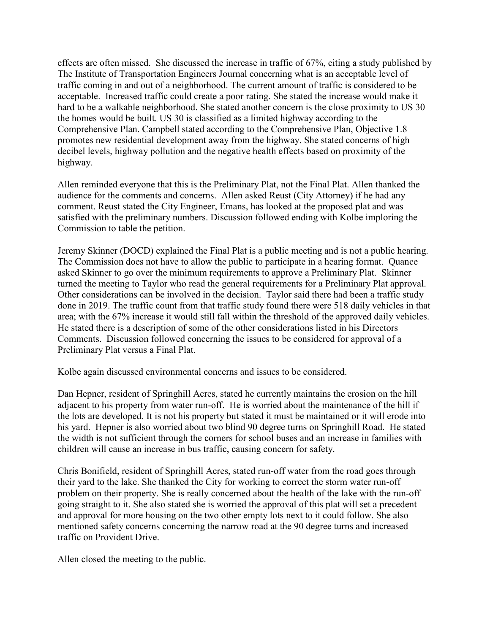effects are often missed. She discussed the increase in traffic of 67%, citing a study published by The Institute of Transportation Engineers Journal concerning what is an acceptable level of traffic coming in and out of a neighborhood. The current amount of traffic is considered to be acceptable. Increased traffic could create a poor rating. She stated the increase would make it hard to be a walkable neighborhood. She stated another concern is the close proximity to US 30 the homes would be built. US 30 is classified as a limited highway according to the Comprehensive Plan. Campbell stated according to the Comprehensive Plan, Objective 1.8 promotes new residential development away from the highway. She stated concerns of high decibel levels, highway pollution and the negative health effects based on proximity of the highway.

Allen reminded everyone that this is the Preliminary Plat, not the Final Plat. Allen thanked the audience for the comments and concerns. Allen asked Reust (City Attorney) if he had any comment. Reust stated the City Engineer, Emans, has looked at the proposed plat and was satisfied with the preliminary numbers. Discussion followed ending with Kolbe imploring the Commission to table the petition.

Jeremy Skinner (DOCD) explained the Final Plat is a public meeting and is not a public hearing. The Commission does not have to allow the public to participate in a hearing format. Quance asked Skinner to go over the minimum requirements to approve a Preliminary Plat. Skinner turned the meeting to Taylor who read the general requirements for a Preliminary Plat approval. Other considerations can be involved in the decision. Taylor said there had been a traffic study done in 2019. The traffic count from that traffic study found there were 518 daily vehicles in that area; with the 67% increase it would still fall within the threshold of the approved daily vehicles. He stated there is a description of some of the other considerations listed in his Directors Comments. Discussion followed concerning the issues to be considered for approval of a Preliminary Plat versus a Final Plat.

Kolbe again discussed environmental concerns and issues to be considered.

Dan Hepner, resident of Springhill Acres, stated he currently maintains the erosion on the hill adjacent to his property from water run-off. He is worried about the maintenance of the hill if the lots are developed. It is not his property but stated it must be maintained or it will erode into his yard. Hepner is also worried about two blind 90 degree turns on Springhill Road. He stated the width is not sufficient through the corners for school buses and an increase in families with children will cause an increase in bus traffic, causing concern for safety.

Chris Bonifield, resident of Springhill Acres, stated run-off water from the road goes through their yard to the lake. She thanked the City for working to correct the storm water run-off problem on their property. She is really concerned about the health of the lake with the run-off going straight to it. She also stated she is worried the approval of this plat will set a precedent and approval for more housing on the two other empty lots next to it could follow. She also mentioned safety concerns concerning the narrow road at the 90 degree turns and increased traffic on Provident Drive.

Allen closed the meeting to the public.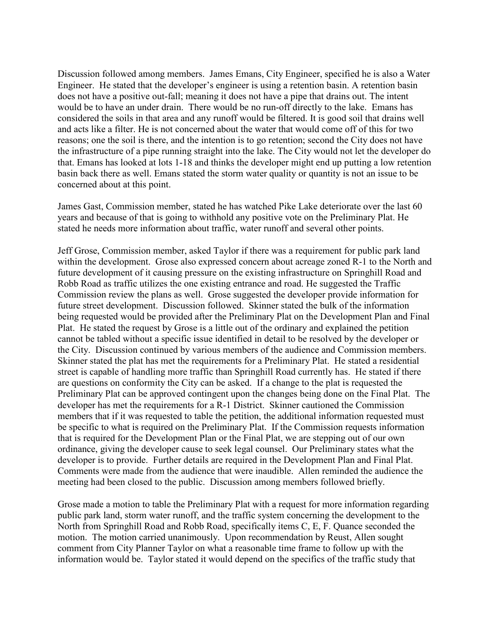Discussion followed among members. James Emans, City Engineer, specified he is also a Water Engineer. He stated that the developer's engineer is using a retention basin. A retention basin does not have a positive out-fall; meaning it does not have a pipe that drains out. The intent would be to have an under drain. There would be no run-off directly to the lake. Emans has considered the soils in that area and any runoff would be filtered. It is good soil that drains well and acts like a filter. He is not concerned about the water that would come off of this for two reasons; one the soil is there, and the intention is to go retention; second the City does not have the infrastructure of a pipe running straight into the lake. The City would not let the developer do that. Emans has looked at lots 1-18 and thinks the developer might end up putting a low retention basin back there as well. Emans stated the storm water quality or quantity is not an issue to be concerned about at this point.

James Gast, Commission member, stated he has watched Pike Lake deteriorate over the last 60 years and because of that is going to withhold any positive vote on the Preliminary Plat. He stated he needs more information about traffic, water runoff and several other points.

Jeff Grose, Commission member, asked Taylor if there was a requirement for public park land within the development. Grose also expressed concern about acreage zoned R-1 to the North and future development of it causing pressure on the existing infrastructure on Springhill Road and Robb Road as traffic utilizes the one existing entrance and road. He suggested the Traffic Commission review the plans as well. Grose suggested the developer provide information for future street development. Discussion followed. Skinner stated the bulk of the information being requested would be provided after the Preliminary Plat on the Development Plan and Final Plat. He stated the request by Grose is a little out of the ordinary and explained the petition cannot be tabled without a specific issue identified in detail to be resolved by the developer or the City. Discussion continued by various members of the audience and Commission members. Skinner stated the plat has met the requirements for a Preliminary Plat. He stated a residential street is capable of handling more traffic than Springhill Road currently has. He stated if there are questions on conformity the City can be asked. If a change to the plat is requested the Preliminary Plat can be approved contingent upon the changes being done on the Final Plat. The developer has met the requirements for a R-1 District. Skinner cautioned the Commission members that if it was requested to table the petition, the additional information requested must be specific to what is required on the Preliminary Plat. If the Commission requests information that is required for the Development Plan or the Final Plat, we are stepping out of our own ordinance, giving the developer cause to seek legal counsel. Our Preliminary states what the developer is to provide. Further details are required in the Development Plan and Final Plat. Comments were made from the audience that were inaudible. Allen reminded the audience the meeting had been closed to the public. Discussion among members followed briefly.

Grose made a motion to table the Preliminary Plat with a request for more information regarding public park land, storm water runoff, and the traffic system concerning the development to the North from Springhill Road and Robb Road, specifically items C, E, F. Quance seconded the motion. The motion carried unanimously. Upon recommendation by Reust, Allen sought comment from City Planner Taylor on what a reasonable time frame to follow up with the information would be. Taylor stated it would depend on the specifics of the traffic study that